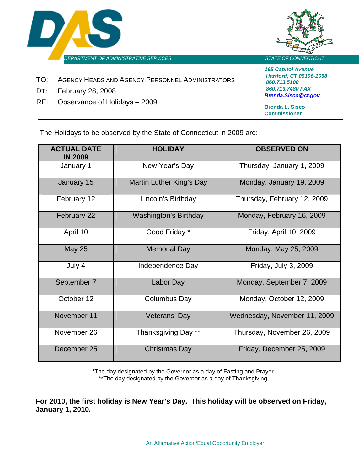



- TO: AGENCY HEADS AND AGENCY PERSONNEL ADMINISTRATORS
- DT: February 28, 2008
- RE: Observance of Holidays 2009

*165 Capitol Avenue Hartford, CT 06106-1658 860.713.5100 860.713.7480 FAX [Brenda.Sisco@ct.gov](mailto:Anne.Gnazzo@CT.GOV)*

**Brenda L. Sisco Commissioner**

The Holidays to be observed by the State of Connecticut in 2009 are:

| <b>ACTUAL DATE</b><br><b>IN 2009</b> | <b>HOLIDAY</b>               | <b>OBSERVED ON</b>           |
|--------------------------------------|------------------------------|------------------------------|
| January 1                            | New Year's Day               | Thursday, January 1, 2009    |
| January 15                           | Martin Luther King's Day     | Monday, January 19, 2009     |
| February 12                          | Lincoln's Birthday           | Thursday, February 12, 2009  |
| February 22                          | <b>Washington's Birthday</b> | Monday, February 16, 2009    |
| April 10                             | Good Friday *                | Friday, April 10, 2009       |
| <b>May 25</b>                        | <b>Memorial Day</b>          | Monday, May 25, 2009         |
| July 4                               | Independence Day             | Friday, July 3, 2009         |
| September 7                          | Labor Day                    | Monday, September 7, 2009    |
| October 12                           | Columbus Day                 | Monday, October 12, 2009     |
| November 11                          | Veterans' Day                | Wednesday, November 11, 2009 |
| November 26                          | Thanksgiving Day **          | Thursday, November 26, 2009  |
| December 25                          | <b>Christmas Day</b>         | Friday, December 25, 2009    |

\*The day designated by the Governor as a day of Fasting and Prayer. \*\*The day designated by the Governor as a day of Thanksgiving.

**For 2010, the first holiday is New Year's Day. This holiday will be observed on Friday, January 1, 2010.**